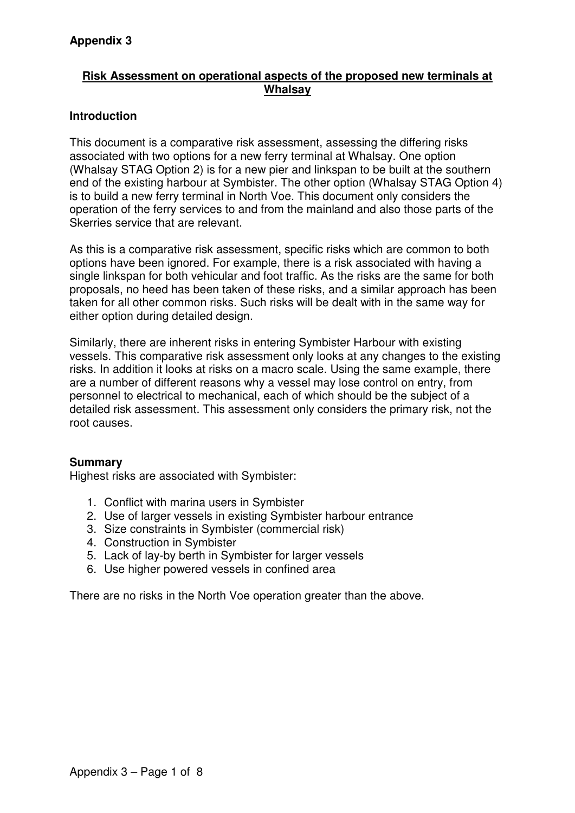## **Risk Assessment on operational aspects of the proposed new terminals at Whalsay**

## **Introduction**

This document is a comparative risk assessment, assessing the differing risks associated with two options for a new ferry terminal at Whalsay. One option (Whalsay STAG Option 2) is for a new pier and linkspan to be built at the southern end of the existing harbour at Symbister. The other option (Whalsay STAG Option 4) is to build a new ferry terminal in North Voe. This document only considers the operation of the ferry services to and from the mainland and also those parts of the Skerries service that are relevant.

As this is a comparative risk assessment, specific risks which are common to both options have been ignored. For example, there is a risk associated with having a single linkspan for both vehicular and foot traffic. As the risks are the same for both proposals, no heed has been taken of these risks, and a similar approach has been taken for all other common risks. Such risks will be dealt with in the same way for either option during detailed design.

Similarly, there are inherent risks in entering Symbister Harbour with existing vessels. This comparative risk assessment only looks at any changes to the existing risks. In addition it looks at risks on a macro scale. Using the same example, there are a number of different reasons why a vessel may lose control on entry, from personnel to electrical to mechanical, each of which should be the subject of a detailed risk assessment. This assessment only considers the primary risk, not the root causes.

## **Summary**

Highest risks are associated with Symbister:

- 1. Conflict with marina users in Symbister
- 2. Use of larger vessels in existing Symbister harbour entrance
- 3. Size constraints in Symbister (commercial risk)
- 4. Construction in Symbister
- 5. Lack of lay-by berth in Symbister for larger vessels
- 6. Use higher powered vessels in confined area

There are no risks in the North Voe operation greater than the above.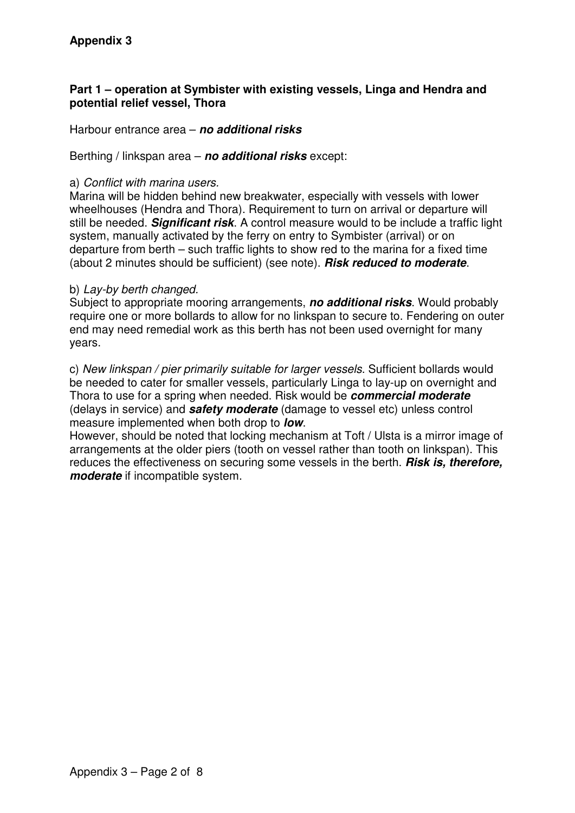### **Part 1 – operation at Symbister with existing vessels, Linga and Hendra and potential relief vessel, Thora**

Harbour entrance area – **no additional risks**

Berthing / linkspan area – **no additional risks** except:

#### a) Conflict with marina users.

Marina will be hidden behind new breakwater, especially with vessels with lower wheelhouses (Hendra and Thora). Requirement to turn on arrival or departure will still be needed. **Significant risk**. A control measure would to be include a traffic light system, manually activated by the ferry on entry to Symbister (arrival) or on departure from berth – such traffic lights to show red to the marina for a fixed time (about 2 minutes should be sufficient) (see note). **Risk reduced to moderate**.

#### b) Lay-by berth changed.

Subject to appropriate mooring arrangements, **no additional risks**. Would probably require one or more bollards to allow for no linkspan to secure to. Fendering on outer end may need remedial work as this berth has not been used overnight for many years.

c) New linkspan / pier primarily suitable for larger vessels. Sufficient bollards would be needed to cater for smaller vessels, particularly Linga to lay-up on overnight and Thora to use for a spring when needed. Risk would be **commercial moderate**  (delays in service) and **safety moderate** (damage to vessel etc) unless control measure implemented when both drop to **low**.

However, should be noted that locking mechanism at Toft / Ulsta is a mirror image of arrangements at the older piers (tooth on vessel rather than tooth on linkspan). This reduces the effectiveness on securing some vessels in the berth. **Risk is, therefore, moderate** if incompatible system.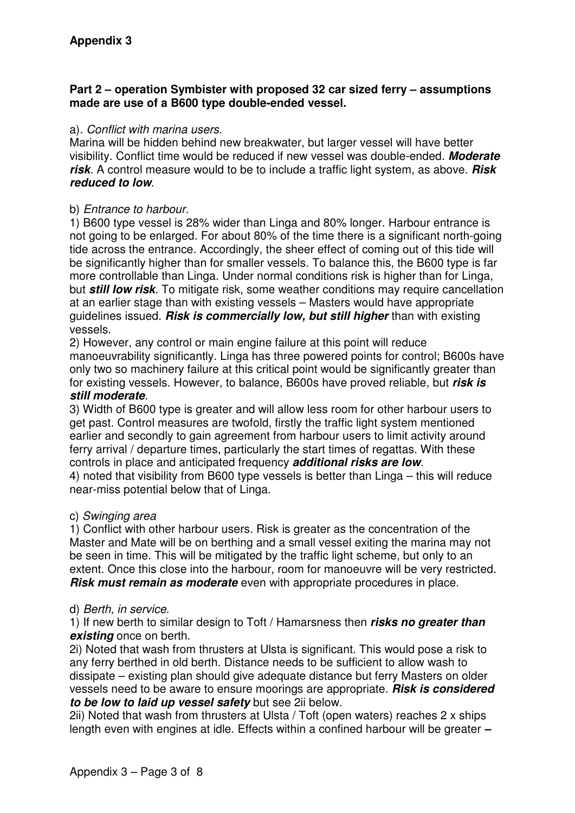### **Part 2 – operation Symbister with proposed 32 car sized ferry – assumptions made are use of a B600 type double-ended vessel.**

#### a). Conflict with marina users.

Marina will be hidden behind new breakwater, but larger vessel will have better visibility. Conflict time would be reduced if new vessel was double-ended. **Moderate risk**. A control measure would to be to include a traffic light system, as above. **Risk reduced to low**.

#### b) Entrance to harbour.

1) B600 type vessel is 28% wider than Linga and 80% longer. Harbour entrance is not going to be enlarged. For about 80% of the time there is a significant north-going tide across the entrance. Accordingly, the sheer effect of coming out of this tide will be significantly higher than for smaller vessels. To balance this, the B600 type is far more controllable than Linga. Under normal conditions risk is higher than for Linga, but **still low risk**. To mitigate risk, some weather conditions may require cancellation at an earlier stage than with existing vessels – Masters would have appropriate guidelines issued. **Risk is commercially low, but still higher** than with existing vessels.

2) However, any control or main engine failure at this point will reduce manoeuvrability significantly. Linga has three powered points for control; B600s have only two so machinery failure at this critical point would be significantly greater than for existing vessels. However, to balance, B600s have proved reliable, but **risk is still moderate**.

3) Width of B600 type is greater and will allow less room for other harbour users to get past. Control measures are twofold, firstly the traffic light system mentioned earlier and secondly to gain agreement from harbour users to limit activity around ferry arrival / departure times, particularly the start times of regattas. With these controls in place and anticipated frequency **additional risks are low**. 4) noted that visibility from B600 type vessels is better than Linga – this will reduce near-miss potential below that of Linga.

#### c) Swinging area

1) Conflict with other harbour users. Risk is greater as the concentration of the Master and Mate will be on berthing and a small vessel exiting the marina may not be seen in time. This will be mitigated by the traffic light scheme, but only to an extent. Once this close into the harbour, room for manoeuvre will be very restricted. **Risk must remain as moderate** even with appropriate procedures in place.

#### d) Berth, in service.

1) If new berth to similar design to Toft / Hamarsness then **risks no greater than existing** once on berth.

2i) Noted that wash from thrusters at Ulsta is significant. This would pose a risk to any ferry berthed in old berth. Distance needs to be sufficient to allow wash to dissipate – existing plan should give adequate distance but ferry Masters on older vessels need to be aware to ensure moorings are appropriate. **Risk is considered to be low to laid up vessel safety** but see 2ii below.

2ii) Noted that wash from thrusters at Ulsta / Toft (open waters) reaches 2 x ships length even with engines at idle. Effects within a confined harbour will be greater **–**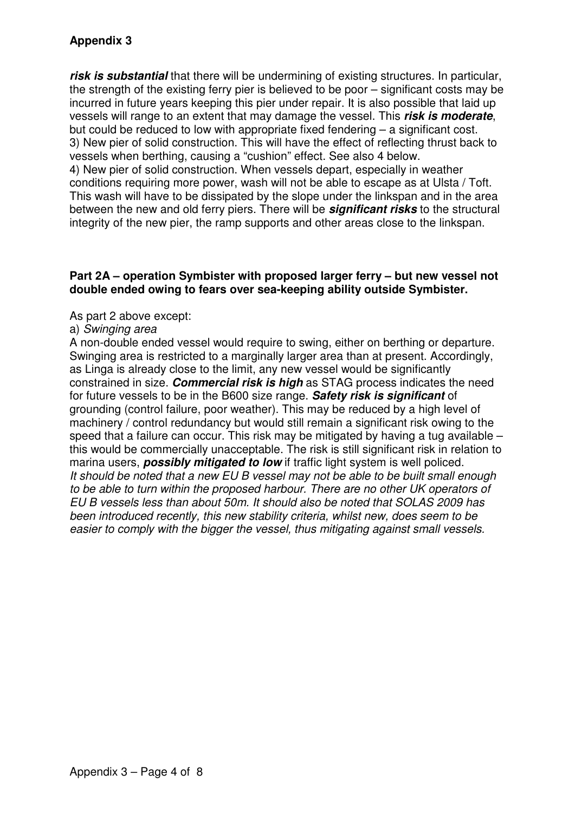# **Appendix 3**

**risk is substantial** that there will be undermining of existing structures. In particular, the strength of the existing ferry pier is believed to be poor – significant costs may be incurred in future years keeping this pier under repair. It is also possible that laid up vessels will range to an extent that may damage the vessel. This **risk is moderate**, but could be reduced to low with appropriate fixed fendering – a significant cost. 3) New pier of solid construction. This will have the effect of reflecting thrust back to vessels when berthing, causing a "cushion" effect. See also 4 below. 4) New pier of solid construction. When vessels depart, especially in weather

conditions requiring more power, wash will not be able to escape as at Ulsta / Toft. This wash will have to be dissipated by the slope under the linkspan and in the area between the new and old ferry piers. There will be **significant risks** to the structural integrity of the new pier, the ramp supports and other areas close to the linkspan.

#### **Part 2A – operation Symbister with proposed larger ferry – but new vessel not double ended owing to fears over sea-keeping ability outside Symbister.**

As part 2 above except:

#### a) Swinging area

A non-double ended vessel would require to swing, either on berthing or departure. Swinging area is restricted to a marginally larger area than at present. Accordingly, as Linga is already close to the limit, any new vessel would be significantly constrained in size. **Commercial risk is high** as STAG process indicates the need for future vessels to be in the B600 size range. **Safety risk is significant** of grounding (control failure, poor weather). This may be reduced by a high level of machinery / control redundancy but would still remain a significant risk owing to the speed that a failure can occur. This risk may be mitigated by having a tug available – this would be commercially unacceptable. The risk is still significant risk in relation to marina users, **possibly mitigated to low** if traffic light system is well policed. It should be noted that a new EU B vessel may not be able to be built small enough to be able to turn within the proposed harbour. There are no other UK operators of EU B vessels less than about 50m. It should also be noted that SOLAS 2009 has been introduced recently, this new stability criteria, whilst new, does seem to be easier to comply with the bigger the vessel, thus mitigating against small vessels.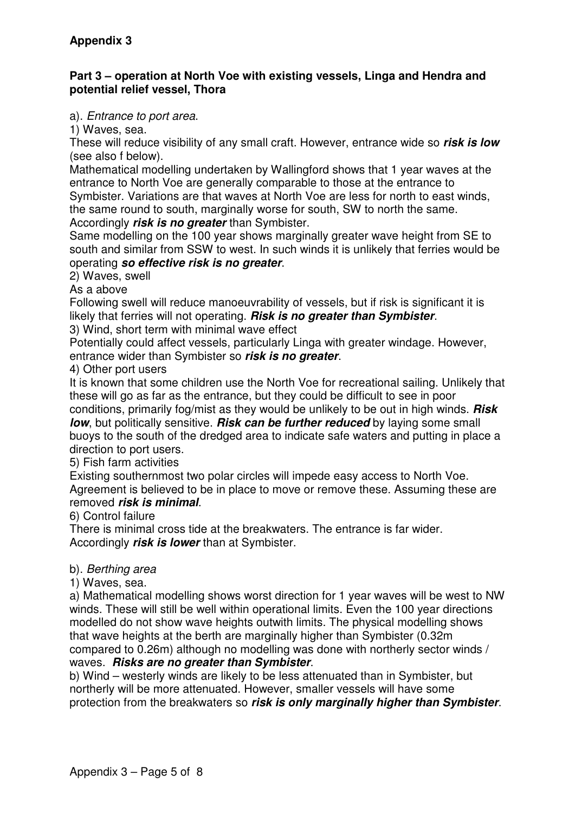### **Part 3 – operation at North Voe with existing vessels, Linga and Hendra and potential relief vessel, Thora**

### a). Entrance to port area.

1) Waves, sea.

These will reduce visibility of any small craft. However, entrance wide so **risk is low** (see also f below).

Mathematical modelling undertaken by Wallingford shows that 1 year waves at the entrance to North Voe are generally comparable to those at the entrance to

Symbister. Variations are that waves at North Voe are less for north to east winds, the same round to south, marginally worse for south, SW to north the same. Accordingly **risk is no greater** than Symbister.

Same modelling on the 100 year shows marginally greater wave height from SE to south and similar from SSW to west. In such winds it is unlikely that ferries would be operating **so effective risk is no greater**.

2) Waves, swell

As a above

Following swell will reduce manoeuvrability of vessels, but if risk is significant it is likely that ferries will not operating. **Risk is no greater than Symbister**.

3) Wind, short term with minimal wave effect

Potentially could affect vessels, particularly Linga with greater windage. However, entrance wider than Symbister so **risk is no greater**.

4) Other port users

It is known that some children use the North Voe for recreational sailing. Unlikely that these will go as far as the entrance, but they could be difficult to see in poor conditions, primarily fog/mist as they would be unlikely to be out in high winds. **Risk**  *low*, but politically sensitive. **Risk can be further reduced** by laying some small buoys to the south of the dredged area to indicate safe waters and putting in place a direction to port users.

5) Fish farm activities

Existing southernmost two polar circles will impede easy access to North Voe. Agreement is believed to be in place to move or remove these. Assuming these are removed **risk is minimal**.

6) Control failure

There is minimal cross tide at the breakwaters. The entrance is far wider. Accordingly **risk is lower** than at Symbister.

## b). Berthing area

1) Waves, sea.

a) Mathematical modelling shows worst direction for 1 year waves will be west to NW winds. These will still be well within operational limits. Even the 100 year directions modelled do not show wave heights outwith limits. The physical modelling shows that wave heights at the berth are marginally higher than Symbister (0.32m compared to 0.26m) although no modelling was done with northerly sector winds / waves. **Risks are no greater than Symbister**.

b) Wind – westerly winds are likely to be less attenuated than in Symbister, but northerly will be more attenuated. However, smaller vessels will have some protection from the breakwaters so **risk is only marginally higher than Symbister**.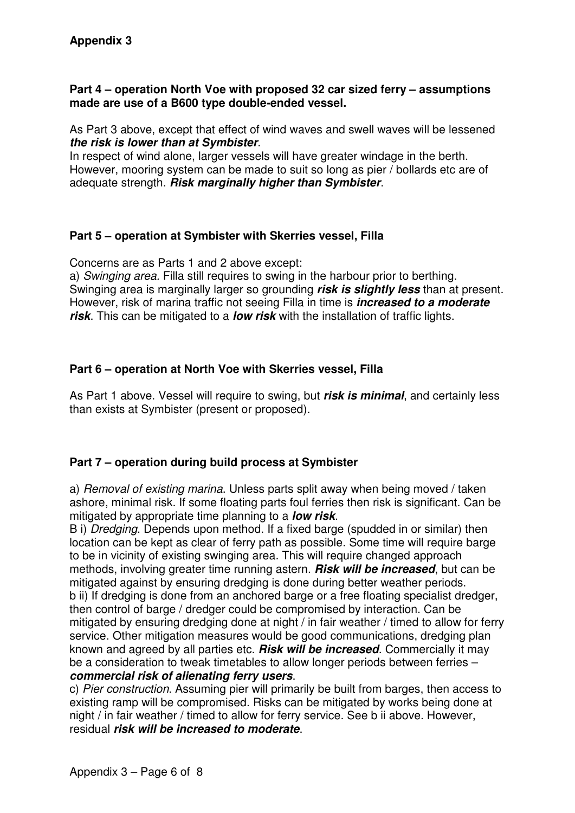#### **Part 4 – operation North Voe with proposed 32 car sized ferry – assumptions made are use of a B600 type double-ended vessel.**

As Part 3 above, except that effect of wind waves and swell waves will be lessened **the risk is lower than at Symbister**.

In respect of wind alone, larger vessels will have greater windage in the berth. However, mooring system can be made to suit so long as pier / bollards etc are of adequate strength. **Risk marginally higher than Symbister**.

### **Part 5 – operation at Symbister with Skerries vessel, Filla**

Concerns are as Parts 1 and 2 above except:

a) Swinging area. Filla still requires to swing in the harbour prior to berthing. Swinging area is marginally larger so grounding **risk is slightly less** than at present. However, risk of marina traffic not seeing Filla in time is **increased to a moderate risk**. This can be mitigated to a **low risk** with the installation of traffic lights.

## **Part 6 – operation at North Voe with Skerries vessel, Filla**

As Part 1 above. Vessel will require to swing, but **risk is minimal**, and certainly less than exists at Symbister (present or proposed).

## **Part 7 – operation during build process at Symbister**

a) Removal of existing marina. Unless parts split away when being moved / taken ashore, minimal risk. If some floating parts foul ferries then risk is significant. Can be mitigated by appropriate time planning to a **low risk**.

B i) Dredging. Depends upon method. If a fixed barge (spudded in or similar) then location can be kept as clear of ferry path as possible. Some time will require barge to be in vicinity of existing swinging area. This will require changed approach methods, involving greater time running astern. **Risk will be increased**, but can be mitigated against by ensuring dredging is done during better weather periods. b ii) If dredging is done from an anchored barge or a free floating specialist dredger, then control of barge / dredger could be compromised by interaction. Can be mitigated by ensuring dredging done at night / in fair weather / timed to allow for ferry service. Other mitigation measures would be good communications, dredging plan known and agreed by all parties etc. **Risk will be increased**. Commercially it may be a consideration to tweak timetables to allow longer periods between ferries – **commercial risk of alienating ferry users**.

c) Pier construction. Assuming pier will primarily be built from barges, then access to existing ramp will be compromised. Risks can be mitigated by works being done at night / in fair weather / timed to allow for ferry service. See b ii above. However, residual **risk will be increased to moderate**.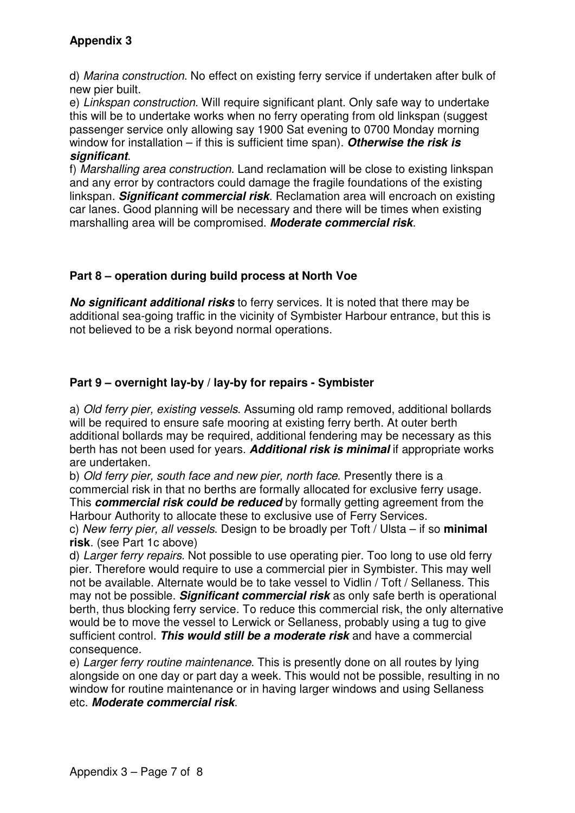d) Marina construction. No effect on existing ferry service if undertaken after bulk of new pier built.

e) Linkspan construction. Will require significant plant. Only safe way to undertake this will be to undertake works when no ferry operating from old linkspan (suggest passenger service only allowing say 1900 Sat evening to 0700 Monday morning window for installation – if this is sufficient time span). **Otherwise the risk is significant**.

f) Marshalling area construction. Land reclamation will be close to existing linkspan and any error by contractors could damage the fragile foundations of the existing linkspan. **Significant commercial risk**. Reclamation area will encroach on existing car lanes. Good planning will be necessary and there will be times when existing marshalling area will be compromised. **Moderate commercial risk**.

# **Part 8 – operation during build process at North Voe**

**No significant additional risks** to ferry services. It is noted that there may be additional sea-going traffic in the vicinity of Symbister Harbour entrance, but this is not believed to be a risk beyond normal operations.

# **Part 9 – overnight lay-by / lay-by for repairs - Symbister**

a) Old ferry pier, existing vessels. Assuming old ramp removed, additional bollards will be required to ensure safe mooring at existing ferry berth. At outer berth additional bollards may be required, additional fendering may be necessary as this berth has not been used for years. **Additional risk is minimal** if appropriate works are undertaken.

b) Old ferry pier, south face and new pier, north face. Presently there is a commercial risk in that no berths are formally allocated for exclusive ferry usage. This **commercial risk could be reduced** by formally getting agreement from the Harbour Authority to allocate these to exclusive use of Ferry Services.

c) New ferry pier, all vessels. Design to be broadly per Toft / Ulsta – if so **minimal risk**. (see Part 1c above)

d) Larger ferry repairs. Not possible to use operating pier. Too long to use old ferry pier. Therefore would require to use a commercial pier in Symbister. This may well not be available. Alternate would be to take vessel to Vidlin / Toft / Sellaness. This may not be possible. **Significant commercial risk** as only safe berth is operational berth, thus blocking ferry service. To reduce this commercial risk, the only alternative would be to move the vessel to Lerwick or Sellaness, probably using a tug to give sufficient control. **This would still be a moderate risk** and have a commercial consequence.

e) Larger ferry routine maintenance. This is presently done on all routes by lying alongside on one day or part day a week. This would not be possible, resulting in no window for routine maintenance or in having larger windows and using Sellaness etc. **Moderate commercial risk**.